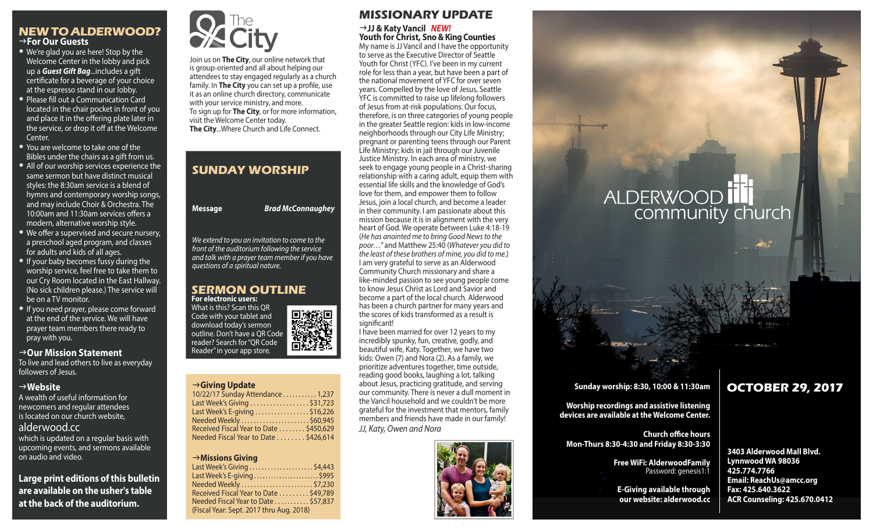## **NEW TO ALDERWOOD?** g**For Our Guests**

- We're glad you are here! Stop by the Welcome Center in the lobby and pick up a *Guest Gift Bag*...includes a gift certificate for a beverage of your choice at the espresso stand in our lobby.
- Please fill out a Communication Card located in the chair pocket in front of you and place it in the offering plate later in the service, or drop it off at the Welcome Center.
- You are welcome to take one of the Bibles under the chairs as a gift from us.
- All of our worship services experience the same sermon but have distinct musical styles: the 8:30am service is a blend of hymns and contemporary worship songs, and may include Choir & Orchestra. The 10:00am and 11:30am services offers a modern, alternative worship style.
- We offer a supervised and secure nursery, a preschool aged program, and classes for adults and kids of all ages.
- If your baby becomes fussy during the worship service, feel free to take them to our Cry Room located in the East Hallway. (No sick children please.) The service will be on a TV monitor.
- If you need prayer, please come forward at the end of the service. We will have prayer team members there ready to pray with you.

#### →Our Mission Statement

To live and lead others to live as everyday followers of Jesus.

## g**Website**

A wealth of useful information for newcomers and regular attendees is located on our church website, alderwood.cc

which is updated on a regular basis with upcoming events, and sermons available on audio and video.

**Large print editions of this bulletin are available on the usher's table at the back of the auditorium.**



Join us on **The City**, our online network that is group-oriented and all about helping our attendees to stay engaged regularly as a church family. In **The City** you can set up a profile, use it as an online church directory, communicate with your service ministry, and more. To sign up for **The City**, or for more information, visit the Welcome Center today. **The City**...Where Church and Life Connect.

## **SUNDAY WORSHIP**

| Message | <b>Brad McConnaughey</b> |
|---------|--------------------------|
|         |                          |

*We extend to you an invitation to come to the front of the auditorium following the service and talk with a prayer team member if you have questions of a spiritual nature.*

#### **SERMON OUTLINE For electronic users:**

What is this? Scan this QR 回激說回 Code with your tablet and download today's sermon outline. Don't have a QR Code reader? Search for "QR Code Reader" in your app store.

### g**Giving Update**

| 10/22/17 Sunday Attendance  1,237                           |  |
|-------------------------------------------------------------|--|
| Last Week's Giving \$31,723                                 |  |
| Last Week's E-giving $\ldots \ldots \ldots \ldots$ \$16,226 |  |
| Needed Weekly \$60,945                                      |  |
| Received Fiscal Year to Date \$450,629                      |  |
| Needed Fiscal Year to Date  \$426,614                       |  |
|                                                             |  |

#### g**Missions Giving**

| Last Week's Giving \$4,443               |  |
|------------------------------------------|--|
| Last Week's E-giving  \$995              |  |
|                                          |  |
| Received Fiscal Year to Date \$49,789    |  |
| Needed Fiscal Year to Date \$57,837      |  |
| (Fiscal Year: Sept. 2017 thru Aug. 2018) |  |
|                                          |  |



#### g**JJ & Katy Vancil** *NEW!* **Youth for Christ, Sno & King Counties**

My name is JJ Vancil and I have the opportunity to serve as the Executive Director of Seattle Youth for Christ (YFC). I've been in my current role for less than a year, but have been a part of the national movement of YFC for over seven years. Compelled by the love of Jesus, Seattle YFC is committed to raise up lifelong followers of Jesus from at-risk populations. Our focus, therefore, is on three categories of young people in the greater Seattle region: kids in low-income neighborhoods through our City Life Ministry; pregnant or parenting teens through our Parent Life Ministry; kids in jail through our Juvenile Justice Ministry. In each area of ministry, we seek to engage young people in a Christ-sharing relationship with a caring adult, equip them with essential life skills and the knowledge of God's love for them, and empower them to follow Jesus, join a local church, and become a leader in their community. I am passionate about this mission because it is in alignment with the very heart of God. We operate between Luke 4:18-19 (*He has anointed me to bring Good News to the poor…*" and Matthew 25:40 (*Whatever you did to the least of these brothers of mine, you did to me*.) I am very grateful to serve as an Alderwood Community Church missionary and share a like-minded passion to see young people come to know Jesus Christ as Lord and Savior and become a part of the local church. Alderwood has been a church partner for many years and the scores of kids transformed as a result is significant!

I have been married for over 12 years to my incredibly spunky, fun, creative, godly, and beautiful wife, Katy. Together, we have two kids: Owen (7) and Nora (2). As a family, we prioritize adventures together, time outside, reading good books, laughing a lot, talking about Jesus, practicing gratitude, and serving our community. There is never a dull moment in the Vancil household and we couldn't be more grateful for the investment that mentors, family members and friends have made in our family! *JJ, Katy, Owen and Nora*



# **ALDERWOOD** community church

## **Sunday worship: 8:30, 10:00 & 11:30am**

**Worship recordings and assistive listening devices are available at the Welcome Center.**

**Church office hours Mon-Thurs 8:30-4:30 and Friday 8:30-3:30**

> **Free WiFi: AlderwoodFamily**  Password: genesis1:1

**E-Giving available through our website: alderwood.cc**

## **OCTOBER 29, 2017**

**3403 Alderwood Mall Blvd. Lynnwood WA 98036 425.774.7766 Email: ReachUs@amcc.org Fax: 425.640.3622 ACR Counseling: 425.670.0412**